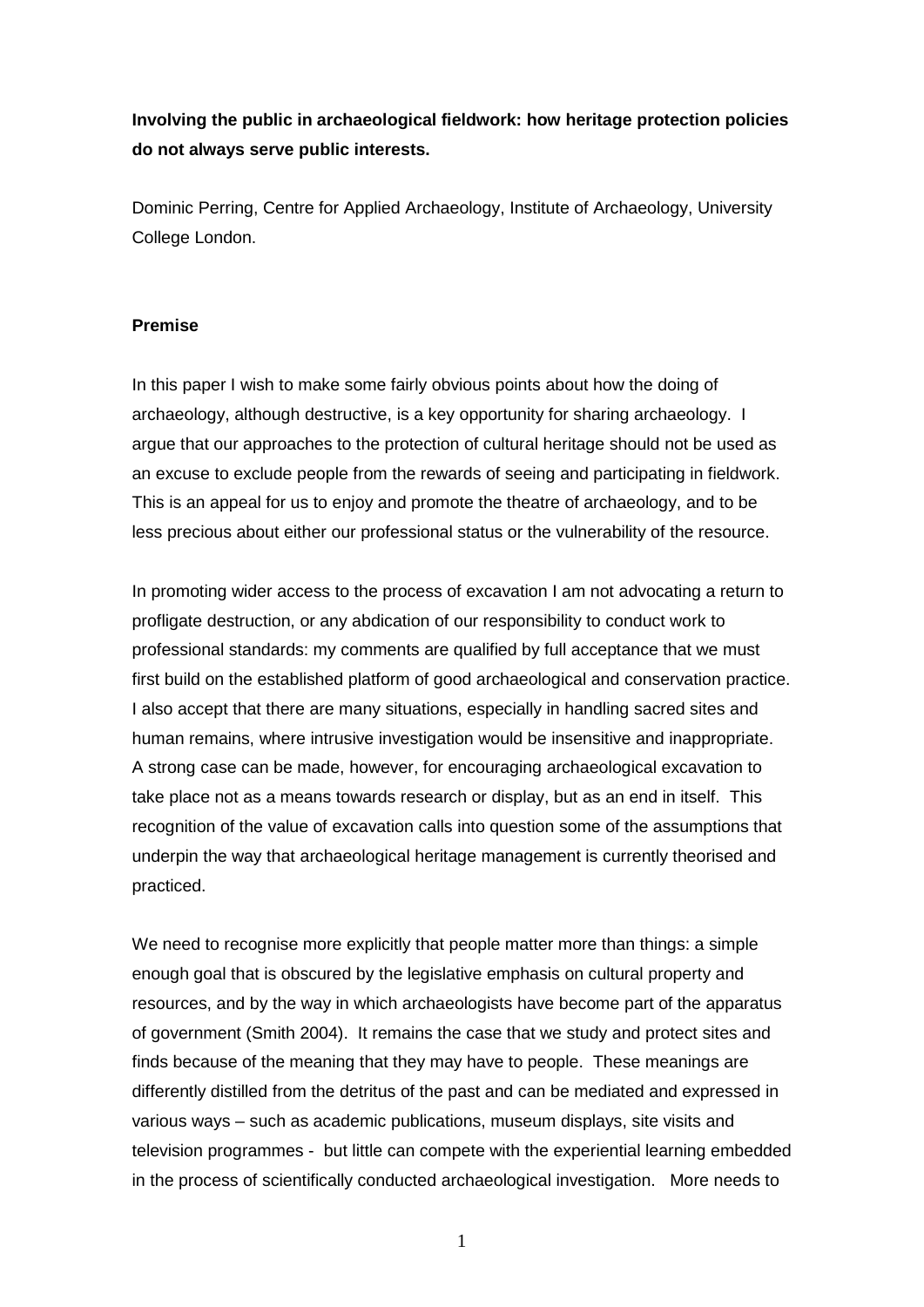**Involving the public in archaeological fieldwork: how heritage protection policies do not always serve public interests.**

Dominic Perring, Centre for Applied Archaeology, Institute of Archaeology, University College London.

# **Premise**

In this paper I wish to make some fairly obvious points about how the doing of archaeology, although destructive, is a key opportunity for sharing archaeology. I argue that our approaches to the protection of cultural heritage should not be used as an excuse to exclude people from the rewards of seeing and participating in fieldwork. This is an appeal for us to enjoy and promote the theatre of archaeology, and to be less precious about either our professional status or the vulnerability of the resource.

In promoting wider access to the process of excavation I am not advocating a return to profligate destruction, or any abdication of our responsibility to conduct work to professional standards: my comments are qualified by full acceptance that we must first build on the established platform of good archaeological and conservation practice. I also accept that there are many situations, especially in handling sacred sites and human remains, where intrusive investigation would be insensitive and inappropriate. A strong case can be made, however, for encouraging archaeological excavation to take place not as a means towards research or display, but as an end in itself. This recognition of the value of excavation calls into question some of the assumptions that underpin the way that archaeological heritage management is currently theorised and practiced.

We need to recognise more explicitly that people matter more than things: a simple enough goal that is obscured by the legislative emphasis on cultural property and resources, and by the way in which archaeologists have become part of the apparatus of government (Smith 2004). It remains the case that we study and protect sites and finds because of the meaning that they may have to people. These meanings are differently distilled from the detritus of the past and can be mediated and expressed in various ways – such as academic publications, museum displays, site visits and television programmes - but little can compete with the experiential learning embedded in the process of scientifically conducted archaeological investigation. More needs to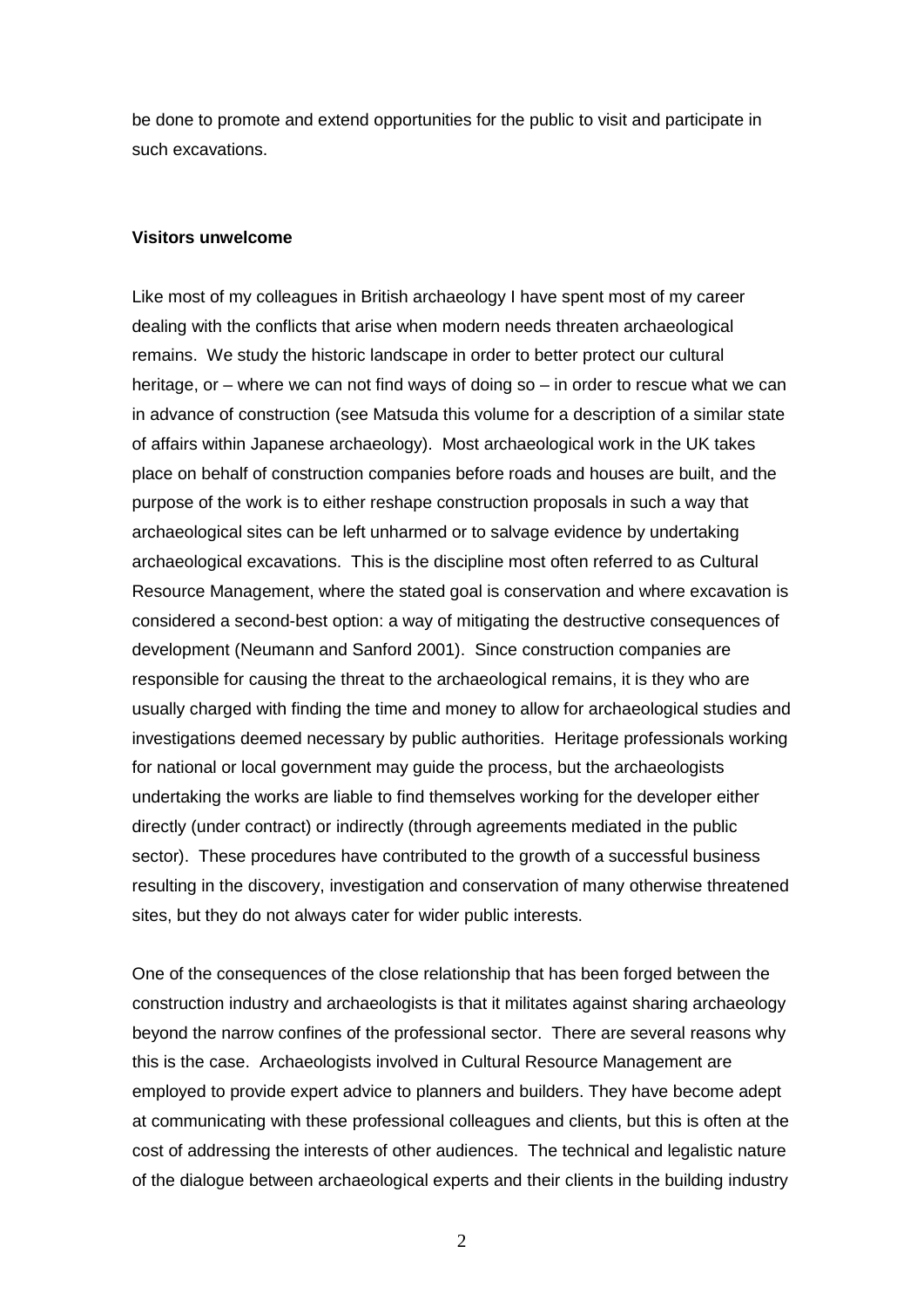be done to promote and extend opportunities for the public to visit and participate in such excavations.

## **Visitors unwelcome**

Like most of my colleagues in British archaeology I have spent most of my career dealing with the conflicts that arise when modern needs threaten archaeological remains. We study the historic landscape in order to better protect our cultural heritage, or – where we can not find ways of doing so – in order to rescue what we can in advance of construction (see Matsuda this volume for a description of a similar state of affairs within Japanese archaeology). Most archaeological work in the UK takes place on behalf of construction companies before roads and houses are built, and the purpose of the work is to either reshape construction proposals in such a way that archaeological sites can be left unharmed or to salvage evidence by undertaking archaeological excavations. This is the discipline most often referred to as Cultural Resource Management, where the stated goal is conservation and where excavation is considered a second-best option: a way of mitigating the destructive consequences of development (Neumann and Sanford 2001). Since construction companies are responsible for causing the threat to the archaeological remains, it is they who are usually charged with finding the time and money to allow for archaeological studies and investigations deemed necessary by public authorities. Heritage professionals working for national or local government may guide the process, but the archaeologists undertaking the works are liable to find themselves working for the developer either directly (under contract) or indirectly (through agreements mediated in the public sector). These procedures have contributed to the growth of a successful business resulting in the discovery, investigation and conservation of many otherwise threatened sites, but they do not always cater for wider public interests.

One of the consequences of the close relationship that has been forged between the construction industry and archaeologists is that it militates against sharing archaeology beyond the narrow confines of the professional sector. There are several reasons why this is the case. Archaeologists involved in Cultural Resource Management are employed to provide expert advice to planners and builders. They have become adept at communicating with these professional colleagues and clients, but this is often at the cost of addressing the interests of other audiences. The technical and legalistic nature of the dialogue between archaeological experts and their clients in the building industry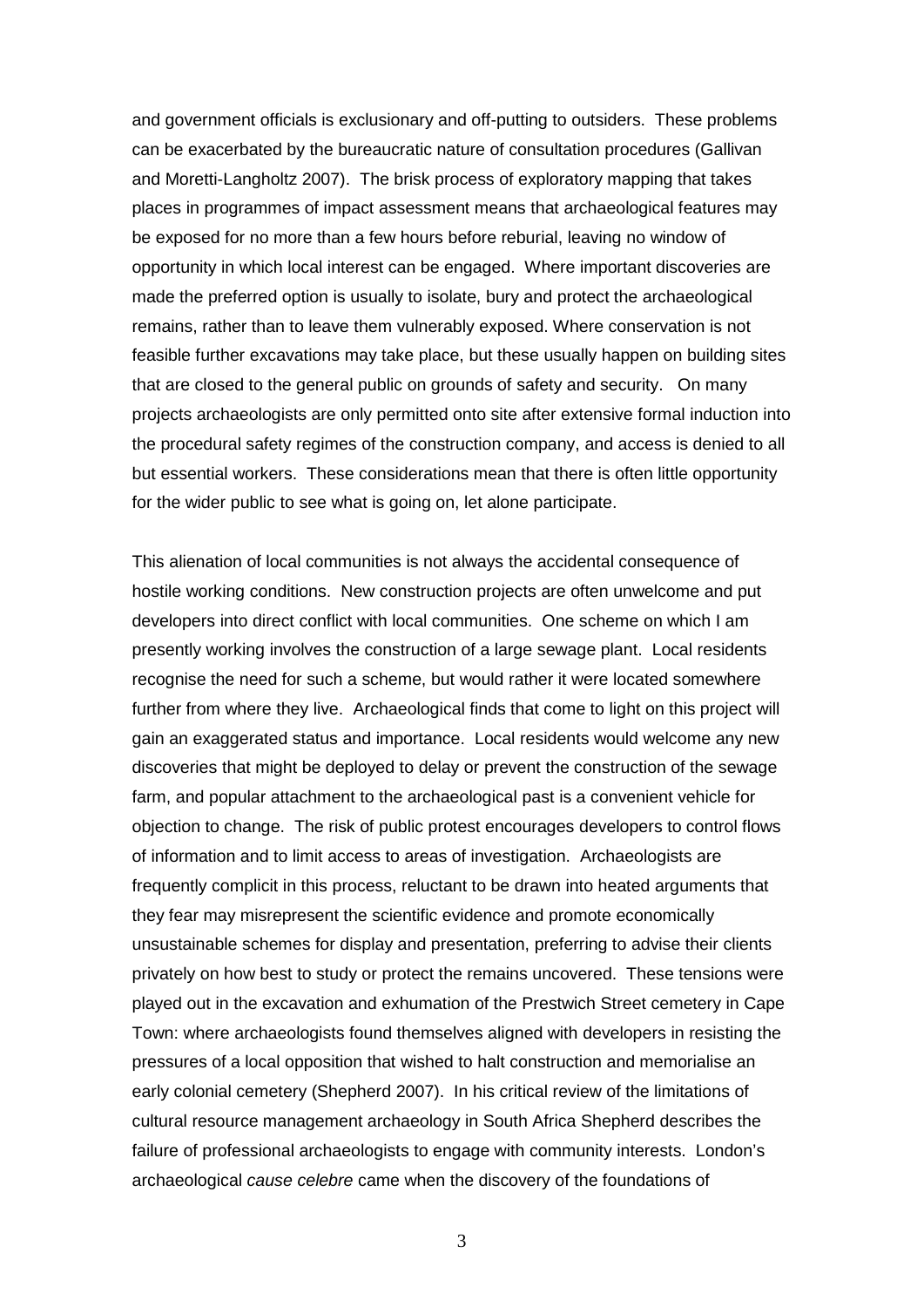and government officials is exclusionary and off-putting to outsiders. These problems can be exacerbated by the bureaucratic nature of consultation procedures (Gallivan and Moretti-Langholtz 2007). The brisk process of exploratory mapping that takes places in programmes of impact assessment means that archaeological features may be exposed for no more than a few hours before reburial, leaving no window of opportunity in which local interest can be engaged. Where important discoveries are made the preferred option is usually to isolate, bury and protect the archaeological remains, rather than to leave them vulnerably exposed. Where conservation is not feasible further excavations may take place, but these usually happen on building sites that are closed to the general public on grounds of safety and security. On many projects archaeologists are only permitted onto site after extensive formal induction into the procedural safety regimes of the construction company, and access is denied to all but essential workers. These considerations mean that there is often little opportunity for the wider public to see what is going on, let alone participate.

This alienation of local communities is not always the accidental consequence of hostile working conditions. New construction projects are often unwelcome and put developers into direct conflict with local communities. One scheme on which I am presently working involves the construction of a large sewage plant. Local residents recognise the need for such a scheme, but would rather it were located somewhere further from where they live. Archaeological finds that come to light on this project will gain an exaggerated status and importance. Local residents would welcome any new discoveries that might be deployed to delay or prevent the construction of the sewage farm, and popular attachment to the archaeological past is a convenient vehicle for objection to change. The risk of public protest encourages developers to control flows of information and to limit access to areas of investigation. Archaeologists are frequently complicit in this process, reluctant to be drawn into heated arguments that they fear may misrepresent the scientific evidence and promote economically unsustainable schemes for display and presentation, preferring to advise their clients privately on how best to study or protect the remains uncovered. These tensions were played out in the excavation and exhumation of the Prestwich Street cemetery in Cape Town: where archaeologists found themselves aligned with developers in resisting the pressures of a local opposition that wished to halt construction and memorialise an early colonial cemetery (Shepherd 2007). In his critical review of the limitations of cultural resource management archaeology in South Africa Shepherd describes the failure of professional archaeologists to engage with community interests. London's archaeological *cause celebre* came when the discovery of the foundations of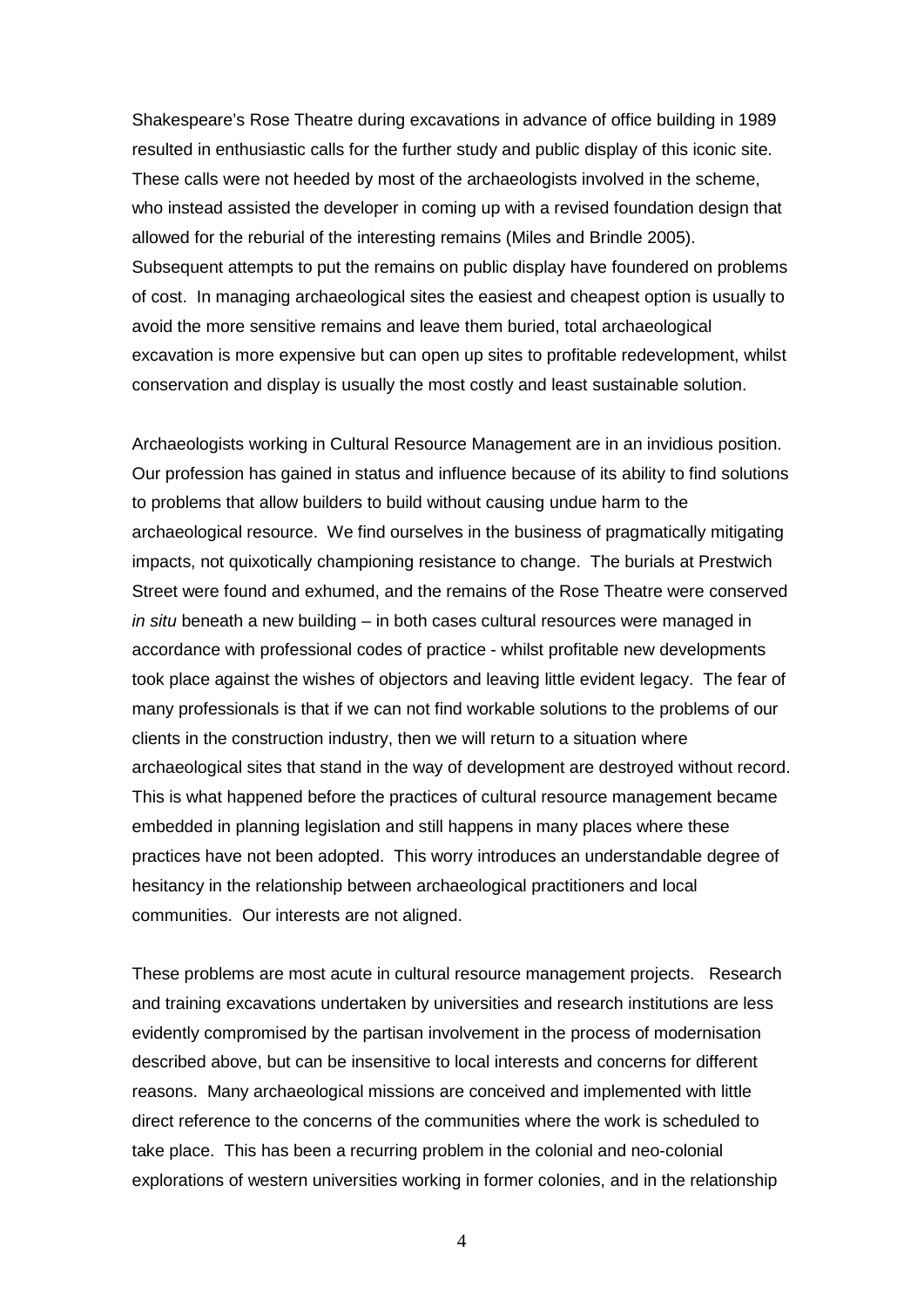Shakespeare's Rose Theatre during excavations in advance of office building in 1989 resulted in enthusiastic calls for the further study and public display of this iconic site. These calls were not heeded by most of the archaeologists involved in the scheme, who instead assisted the developer in coming up with a revised foundation design that allowed for the reburial of the interesting remains (Miles and Brindle 2005). Subsequent attempts to put the remains on public display have foundered on problems of cost. In managing archaeological sites the easiest and cheapest option is usually to avoid the more sensitive remains and leave them buried, total archaeological excavation is more expensive but can open up sites to profitable redevelopment, whilst conservation and display is usually the most costly and least sustainable solution.

Archaeologists working in Cultural Resource Management are in an invidious position. Our profession has gained in status and influence because of its ability to find solutions to problems that allow builders to build without causing undue harm to the archaeological resource. We find ourselves in the business of pragmatically mitigating impacts, not quixotically championing resistance to change. The burials at Prestwich Street were found and exhumed, and the remains of the Rose Theatre were conserved *in situ* beneath a new building – in both cases cultural resources were managed in accordance with professional codes of practice - whilst profitable new developments took place against the wishes of objectors and leaving little evident legacy. The fear of many professionals is that if we can not find workable solutions to the problems of our clients in the construction industry, then we will return to a situation where archaeological sites that stand in the way of development are destroyed without record. This is what happened before the practices of cultural resource management became embedded in planning legislation and still happens in many places where these practices have not been adopted. This worry introduces an understandable degree of hesitancy in the relationship between archaeological practitioners and local communities. Our interests are not aligned.

These problems are most acute in cultural resource management projects. Research and training excavations undertaken by universities and research institutions are less evidently compromised by the partisan involvement in the process of modernisation described above, but can be insensitive to local interests and concerns for different reasons. Many archaeological missions are conceived and implemented with little direct reference to the concerns of the communities where the work is scheduled to take place. This has been a recurring problem in the colonial and neo-colonial explorations of western universities working in former colonies, and in the relationship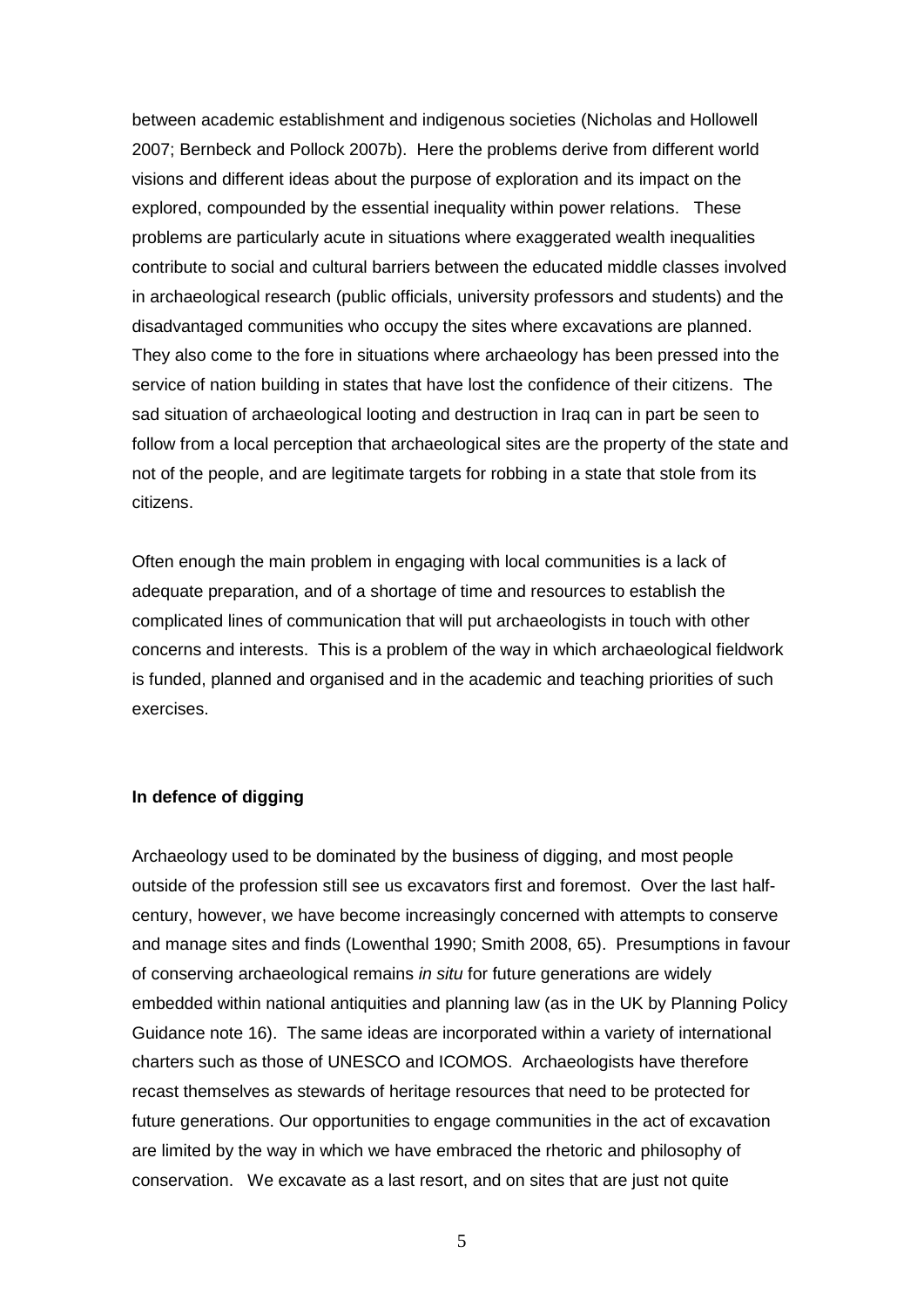between academic establishment and indigenous societies (Nicholas and Hollowell 2007; Bernbeck and Pollock 2007b). Here the problems derive from different world visions and different ideas about the purpose of exploration and its impact on the explored, compounded by the essential inequality within power relations. These problems are particularly acute in situations where exaggerated wealth inequalities contribute to social and cultural barriers between the educated middle classes involved in archaeological research (public officials, university professors and students) and the disadvantaged communities who occupy the sites where excavations are planned. They also come to the fore in situations where archaeology has been pressed into the service of nation building in states that have lost the confidence of their citizens. The sad situation of archaeological looting and destruction in Iraq can in part be seen to follow from a local perception that archaeological sites are the property of the state and not of the people, and are legitimate targets for robbing in a state that stole from its citizens.

Often enough the main problem in engaging with local communities is a lack of adequate preparation, and of a shortage of time and resources to establish the complicated lines of communication that will put archaeologists in touch with other concerns and interests. This is a problem of the way in which archaeological fieldwork is funded, planned and organised and in the academic and teaching priorities of such exercises.

## **In defence of digging**

Archaeology used to be dominated by the business of digging, and most people outside of the profession still see us excavators first and foremost. Over the last halfcentury, however, we have become increasingly concerned with attempts to conserve and manage sites and finds (Lowenthal 1990; Smith 2008, 65). Presumptions in favour of conserving archaeological remains *in situ* for future generations are widely embedded within national antiquities and planning law (as in the UK by Planning Policy Guidance note 16). The same ideas are incorporated within a variety of international charters such as those of UNESCO and ICOMOS. Archaeologists have therefore recast themselves as stewards of heritage resources that need to be protected for future generations. Our opportunities to engage communities in the act of excavation are limited by the way in which we have embraced the rhetoric and philosophy of conservation. We excavate as a last resort, and on sites that are just not quite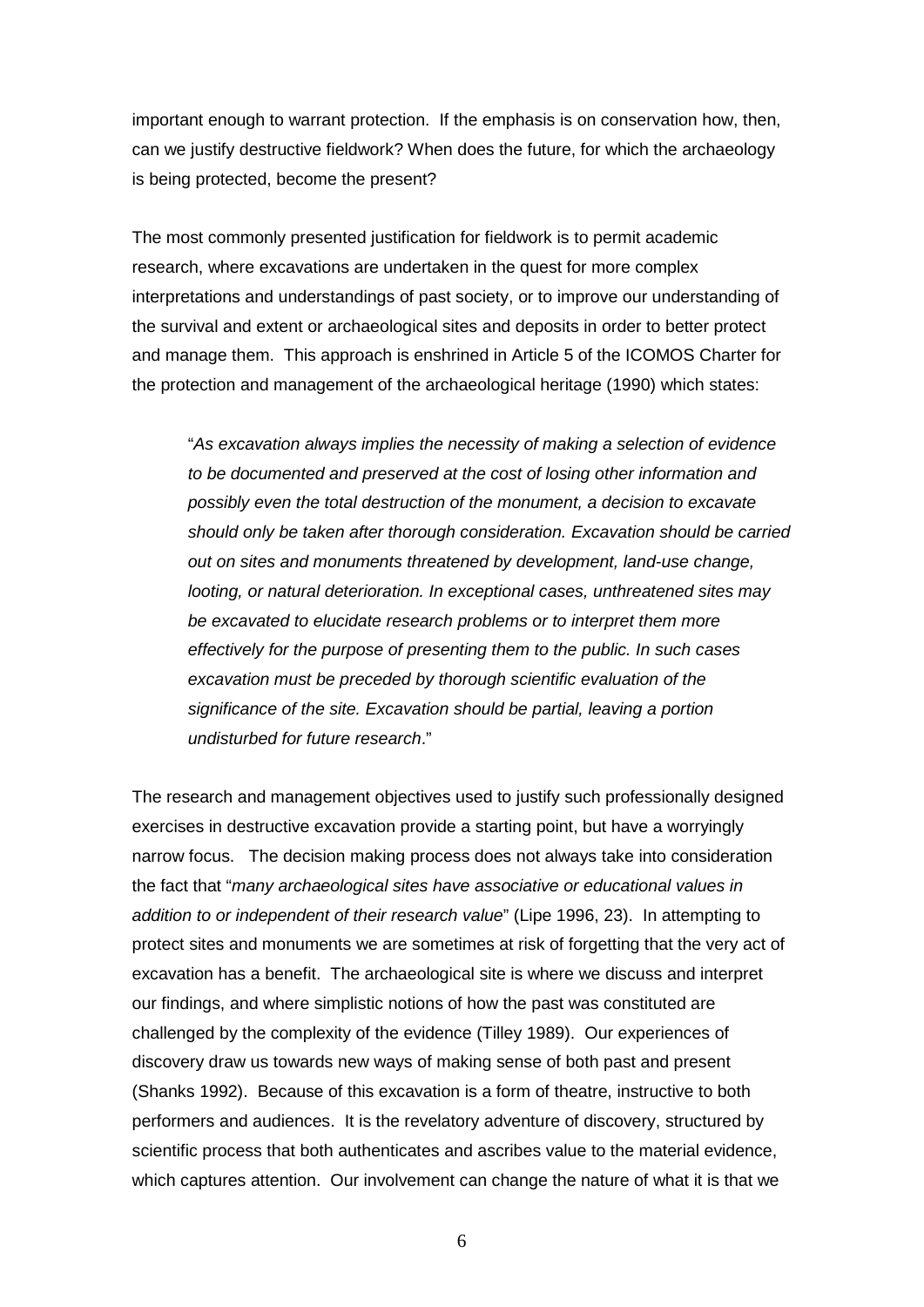important enough to warrant protection. If the emphasis is on conservation how, then, can we justify destructive fieldwork? When does the future, for which the archaeology is being protected, become the present?

The most commonly presented justification for fieldwork is to permit academic research, where excavations are undertaken in the quest for more complex interpretations and understandings of past society, or to improve our understanding of the survival and extent or archaeological sites and deposits in order to better protect and manage them. This approach is enshrined in Article 5 of the ICOMOS Charter for the protection and management of the archaeological heritage (1990) which states:

"*As excavation always implies the necessity of making a selection of evidence to be documented and preserved at the cost of losing other information and possibly even the total destruction of the monument, a decision to excavate should only be taken after thorough consideration. Excavation should be carried out on sites and monuments threatened by development, land-use change, looting, or natural deterioration. In exceptional cases, unthreatened sites may be excavated to elucidate research problems or to interpret them more effectively for the purpose of presenting them to the public. In such cases excavation must be preceded by thorough scientific evaluation of the significance of the site. Excavation should be partial, leaving a portion undisturbed for future research*."

The research and management objectives used to justify such professionally designed exercises in destructive excavation provide a starting point, but have a worryingly narrow focus. The decision making process does not always take into consideration the fact that "*many archaeological sites have associative or educational values in addition to or independent of their research value*" (Lipe 1996, 23). In attempting to protect sites and monuments we are sometimes at risk of forgetting that the very act of excavation has a benefit. The archaeological site is where we discuss and interpret our findings, and where simplistic notions of how the past was constituted are challenged by the complexity of the evidence (Tilley 1989). Our experiences of discovery draw us towards new ways of making sense of both past and present (Shanks 1992). Because of this excavation is a form of theatre, instructive to both performers and audiences. It is the revelatory adventure of discovery, structured by scientific process that both authenticates and ascribes value to the material evidence, which captures attention. Our involvement can change the nature of what it is that we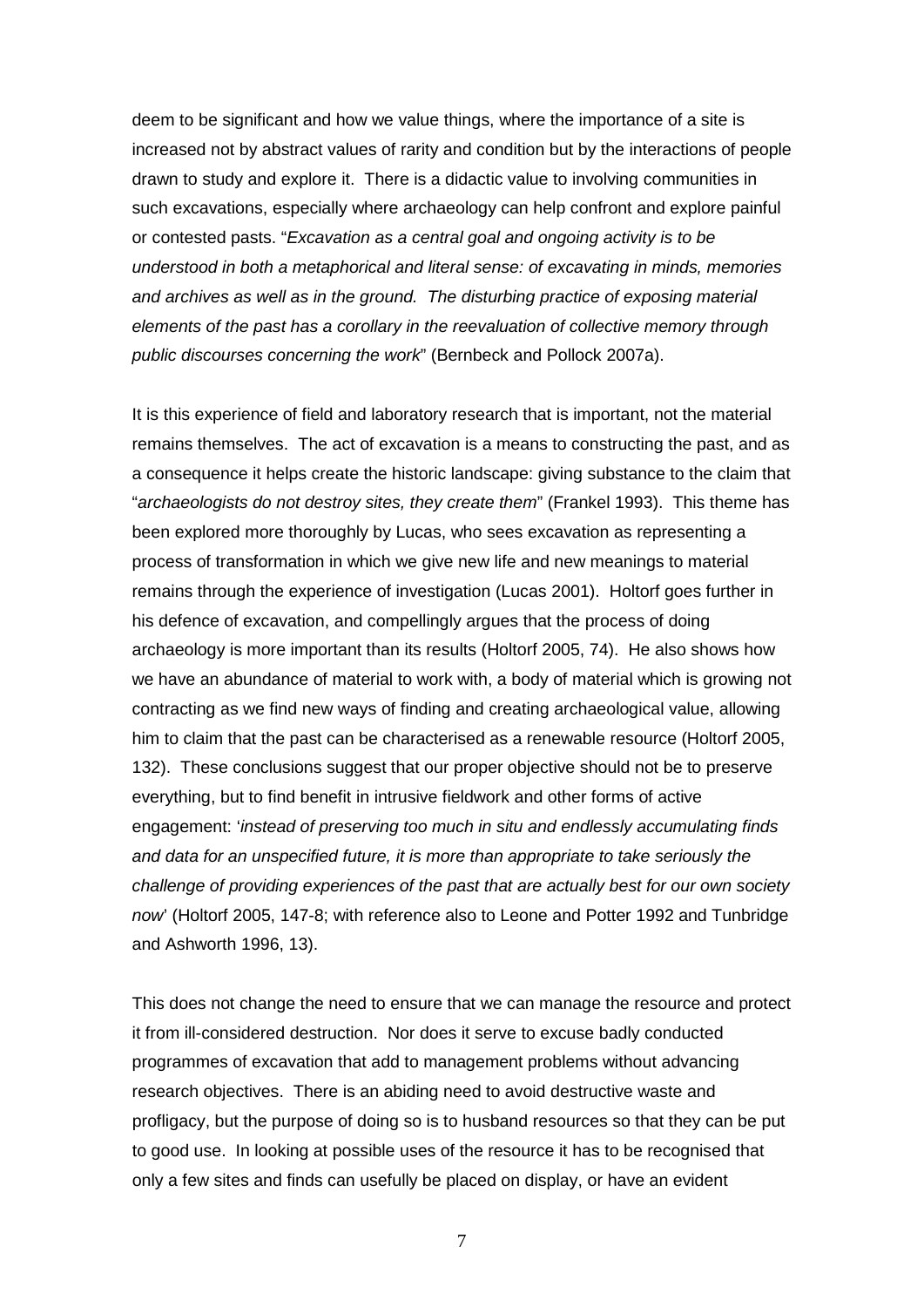deem to be significant and how we value things, where the importance of a site is increased not by abstract values of rarity and condition but by the interactions of people drawn to study and explore it. There is a didactic value to involving communities in such excavations, especially where archaeology can help confront and explore painful or contested pasts. "*Excavation as a central goal and ongoing activity is to be understood in both a metaphorical and literal sense: of excavating in minds, memories and archives as well as in the ground. The disturbing practice of exposing material elements of the past has a corollary in the reevaluation of collective memory through public discourses concerning the work*" (Bernbeck and Pollock 2007a).

It is this experience of field and laboratory research that is important, not the material remains themselves. The act of excavation is a means to constructing the past, and as a consequence it helps create the historic landscape: giving substance to the claim that "*archaeologists do not destroy sites, they create them*" (Frankel 1993). This theme has been explored more thoroughly by Lucas, who sees excavation as representing a process of transformation in which we give new life and new meanings to material remains through the experience of investigation (Lucas 2001). Holtorf goes further in his defence of excavation, and compellingly argues that the process of doing archaeology is more important than its results (Holtorf 2005, 74). He also shows how we have an abundance of material to work with, a body of material which is growing not contracting as we find new ways of finding and creating archaeological value, allowing him to claim that the past can be characterised as a renewable resource (Holtorf 2005, 132). These conclusions suggest that our proper objective should not be to preserve everything, but to find benefit in intrusive fieldwork and other forms of active engagement: '*instead of preserving too much in situ and endlessly accumulating finds and data for an unspecified future, it is more than appropriate to take seriously the challenge of providing experiences of the past that are actually best for our own society now*' (Holtorf 2005, 147-8; with reference also to Leone and Potter 1992 and Tunbridge and Ashworth 1996, 13).

This does not change the need to ensure that we can manage the resource and protect it from ill-considered destruction. Nor does it serve to excuse badly conducted programmes of excavation that add to management problems without advancing research objectives. There is an abiding need to avoid destructive waste and profligacy, but the purpose of doing so is to husband resources so that they can be put to good use. In looking at possible uses of the resource it has to be recognised that only a few sites and finds can usefully be placed on display, or have an evident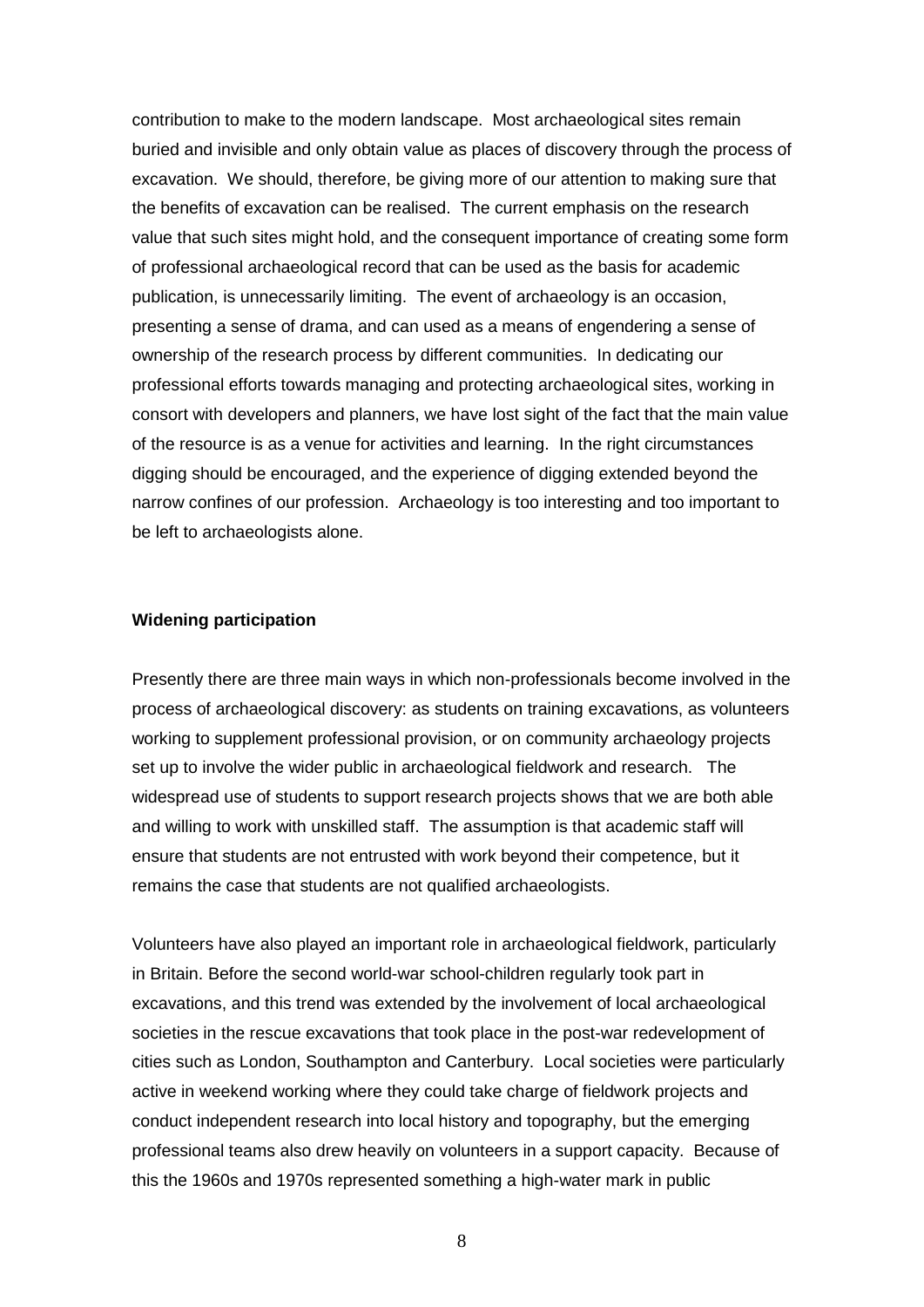contribution to make to the modern landscape. Most archaeological sites remain buried and invisible and only obtain value as places of discovery through the process of excavation. We should, therefore, be giving more of our attention to making sure that the benefits of excavation can be realised. The current emphasis on the research value that such sites might hold, and the consequent importance of creating some form of professional archaeological record that can be used as the basis for academic publication, is unnecessarily limiting. The event of archaeology is an occasion, presenting a sense of drama, and can used as a means of engendering a sense of ownership of the research process by different communities. In dedicating our professional efforts towards managing and protecting archaeological sites, working in consort with developers and planners, we have lost sight of the fact that the main value of the resource is as a venue for activities and learning. In the right circumstances digging should be encouraged, and the experience of digging extended beyond the narrow confines of our profession. Archaeology is too interesting and too important to be left to archaeologists alone.

#### **Widening participation**

Presently there are three main ways in which non-professionals become involved in the process of archaeological discovery: as students on training excavations, as volunteers working to supplement professional provision, or on community archaeology projects set up to involve the wider public in archaeological fieldwork and research. The widespread use of students to support research projects shows that we are both able and willing to work with unskilled staff. The assumption is that academic staff will ensure that students are not entrusted with work beyond their competence, but it remains the case that students are not qualified archaeologists.

Volunteers have also played an important role in archaeological fieldwork, particularly in Britain. Before the second world-war school-children regularly took part in excavations, and this trend was extended by the involvement of local archaeological societies in the rescue excavations that took place in the post-war redevelopment of cities such as London, Southampton and Canterbury. Local societies were particularly active in weekend working where they could take charge of fieldwork projects and conduct independent research into local history and topography, but the emerging professional teams also drew heavily on volunteers in a support capacity. Because of this the 1960s and 1970s represented something a high-water mark in public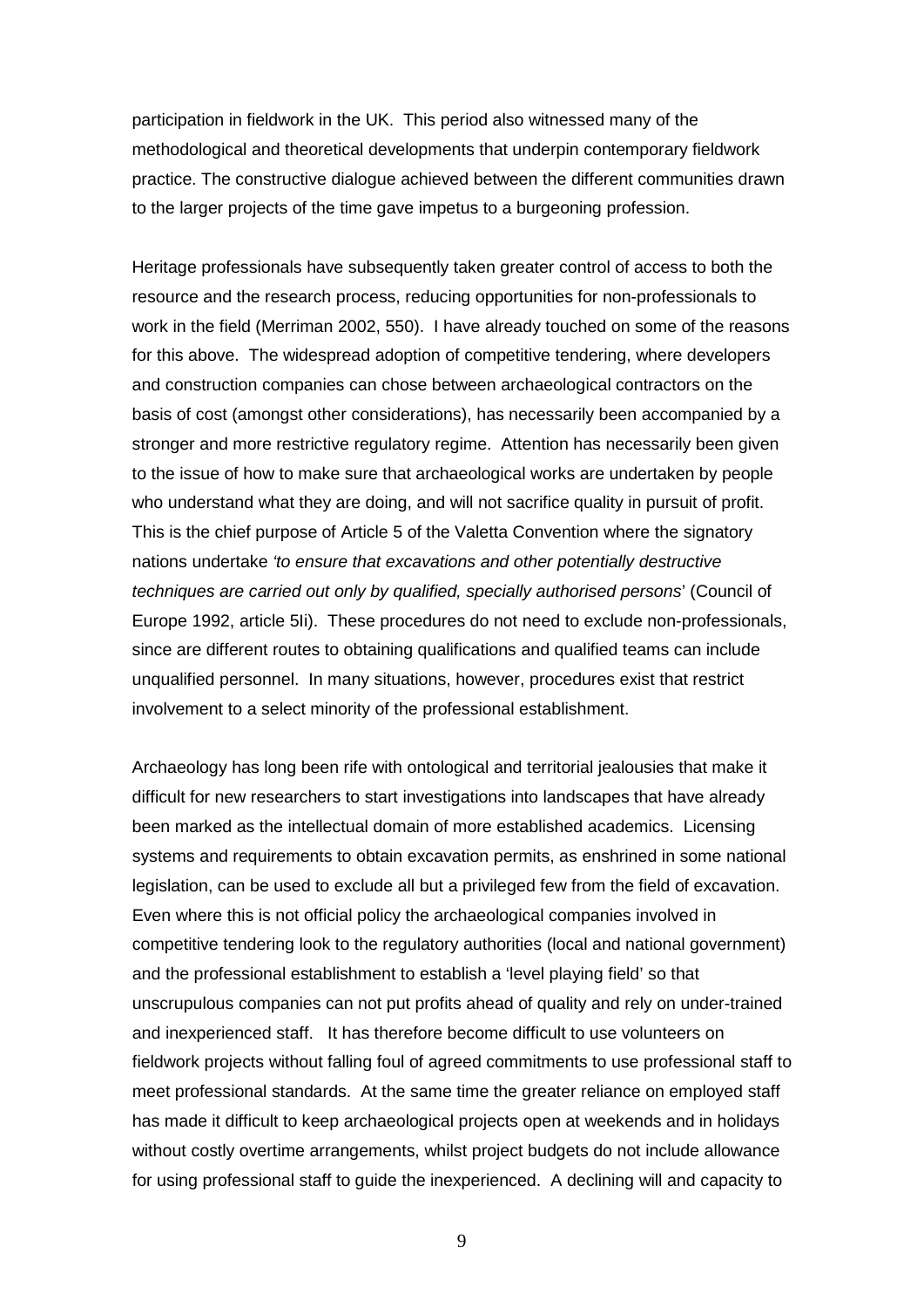participation in fieldwork in the UK. This period also witnessed many of the methodological and theoretical developments that underpin contemporary fieldwork practice. The constructive dialogue achieved between the different communities drawn to the larger projects of the time gave impetus to a burgeoning profession.

Heritage professionals have subsequently taken greater control of access to both the resource and the research process, reducing opportunities for non-professionals to work in the field (Merriman 2002, 550). I have already touched on some of the reasons for this above. The widespread adoption of competitive tendering, where developers and construction companies can chose between archaeological contractors on the basis of cost (amongst other considerations), has necessarily been accompanied by a stronger and more restrictive regulatory regime. Attention has necessarily been given to the issue of how to make sure that archaeological works are undertaken by people who understand what they are doing, and will not sacrifice quality in pursuit of profit. This is the chief purpose of Article 5 of the Valetta Convention where the signatory nations undertake *'to ensure that excavations and other potentially destructive techniques are carried out only by qualified, specially authorised persons*' (Council of Europe 1992, article 5Ii). These procedures do not need to exclude non-professionals, since are different routes to obtaining qualifications and qualified teams can include unqualified personnel. In many situations, however, procedures exist that restrict involvement to a select minority of the professional establishment.

Archaeology has long been rife with ontological and territorial jealousies that make it difficult for new researchers to start investigations into landscapes that have already been marked as the intellectual domain of more established academics. Licensing systems and requirements to obtain excavation permits, as enshrined in some national legislation, can be used to exclude all but a privileged few from the field of excavation. Even where this is not official policy the archaeological companies involved in competitive tendering look to the regulatory authorities (local and national government) and the professional establishment to establish a 'level playing field' so that unscrupulous companies can not put profits ahead of quality and rely on under-trained and inexperienced staff. It has therefore become difficult to use volunteers on fieldwork projects without falling foul of agreed commitments to use professional staff to meet professional standards. At the same time the greater reliance on employed staff has made it difficult to keep archaeological projects open at weekends and in holidays without costly overtime arrangements, whilst project budgets do not include allowance for using professional staff to guide the inexperienced. A declining will and capacity to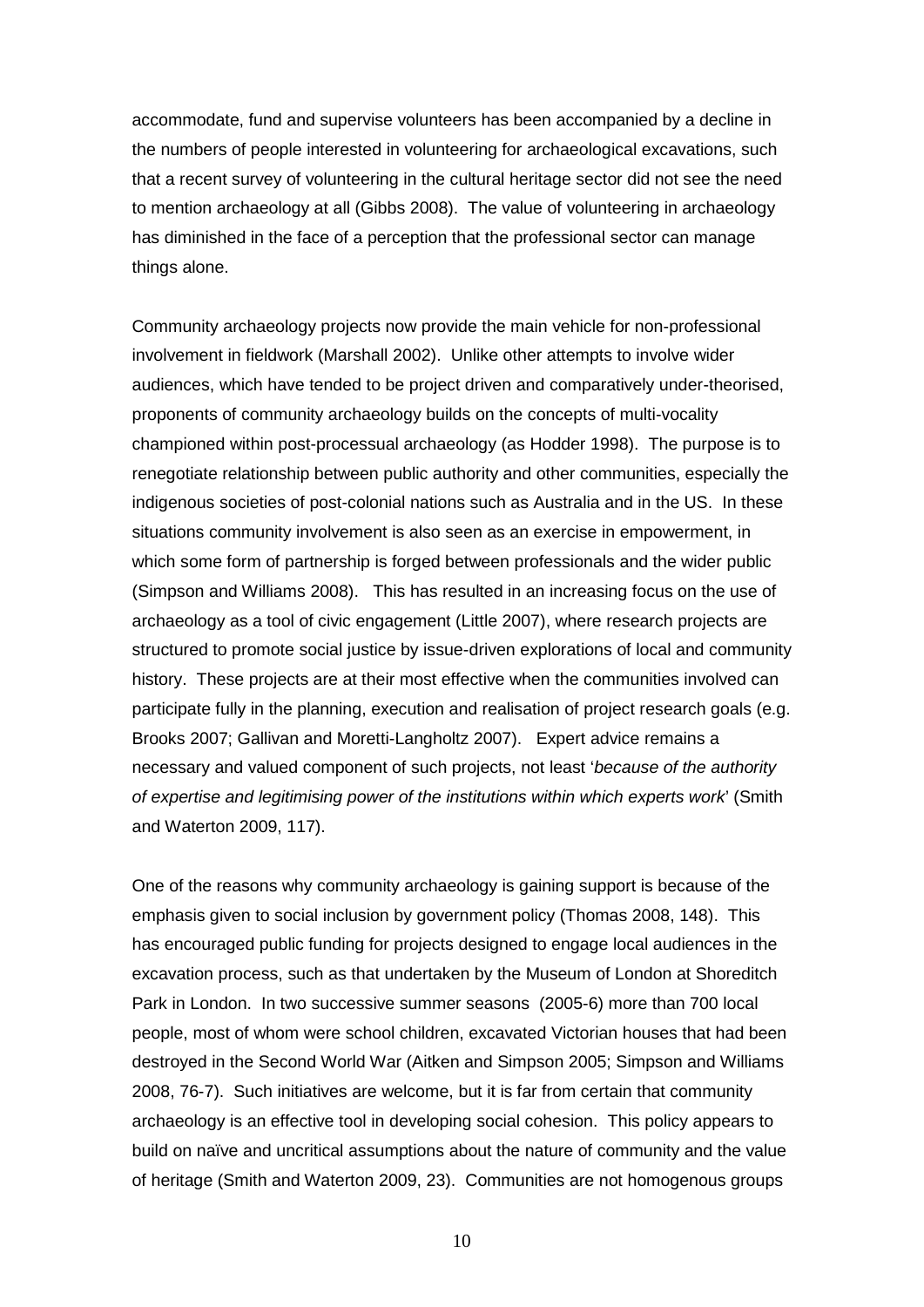accommodate, fund and supervise volunteers has been accompanied by a decline in the numbers of people interested in volunteering for archaeological excavations, such that a recent survey of volunteering in the cultural heritage sector did not see the need to mention archaeology at all (Gibbs 2008). The value of volunteering in archaeology has diminished in the face of a perception that the professional sector can manage things alone.

Community archaeology projects now provide the main vehicle for non-professional involvement in fieldwork (Marshall 2002). Unlike other attempts to involve wider audiences, which have tended to be project driven and comparatively under-theorised, proponents of community archaeology builds on the concepts of multi-vocality championed within post-processual archaeology (as Hodder 1998). The purpose is to renegotiate relationship between public authority and other communities, especially the indigenous societies of post-colonial nations such as Australia and in the US. In these situations community involvement is also seen as an exercise in empowerment, in which some form of partnership is forged between professionals and the wider public (Simpson and Williams 2008). This has resulted in an increasing focus on the use of archaeology as a tool of civic engagement (Little 2007), where research projects are structured to promote social justice by issue-driven explorations of local and community history. These projects are at their most effective when the communities involved can participate fully in the planning, execution and realisation of project research goals (e.g. Brooks 2007; Gallivan and Moretti-Langholtz 2007). Expert advice remains a necessary and valued component of such projects, not least '*because of the authority of expertise and legitimising power of the institutions within which experts work*' (Smith and Waterton 2009, 117).

One of the reasons why community archaeology is gaining support is because of the emphasis given to social inclusion by government policy (Thomas 2008, 148). This has encouraged public funding for projects designed to engage local audiences in the excavation process, such as that undertaken by the Museum of London at Shoreditch Park in London. In two successive summer seasons (2005-6) more than 700 local people, most of whom were school children, excavated Victorian houses that had been destroyed in the Second World War (Aitken and Simpson 2005; Simpson and Williams 2008, 76-7). Such initiatives are welcome, but it is far from certain that community archaeology is an effective tool in developing social cohesion. This policy appears to build on naïve and uncritical assumptions about the nature of community and the value of heritage (Smith and Waterton 2009, 23). Communities are not homogenous groups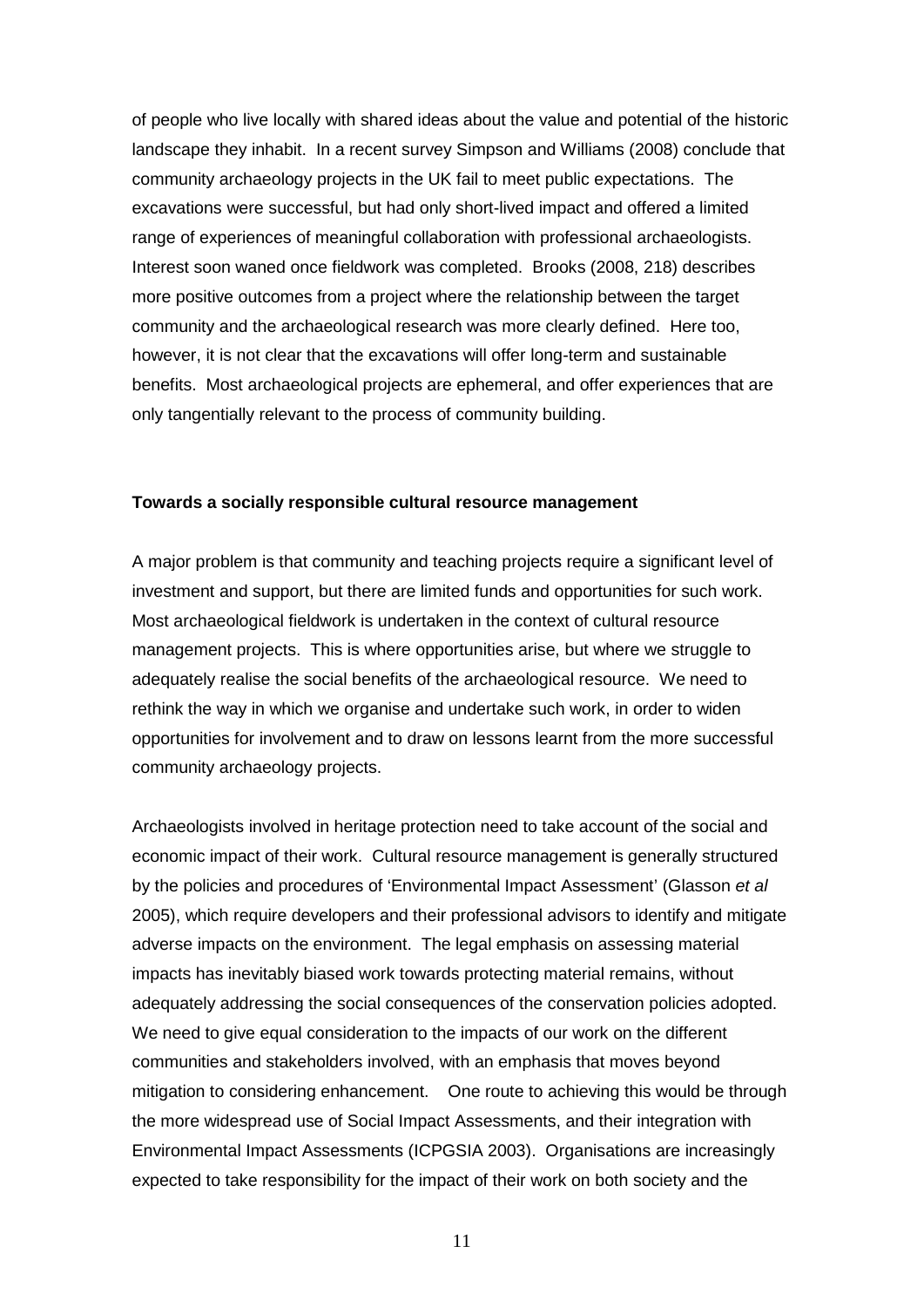of people who live locally with shared ideas about the value and potential of the historic landscape they inhabit. In a recent survey Simpson and Williams (2008) conclude that community archaeology projects in the UK fail to meet public expectations. The excavations were successful, but had only short-lived impact and offered a limited range of experiences of meaningful collaboration with professional archaeologists. Interest soon waned once fieldwork was completed. Brooks (2008, 218) describes more positive outcomes from a project where the relationship between the target community and the archaeological research was more clearly defined. Here too, however, it is not clear that the excavations will offer long-term and sustainable benefits. Most archaeological projects are ephemeral, and offer experiences that are only tangentially relevant to the process of community building.

# **Towards a socially responsible cultural resource management**

A major problem is that community and teaching projects require a significant level of investment and support, but there are limited funds and opportunities for such work. Most archaeological fieldwork is undertaken in the context of cultural resource management projects. This is where opportunities arise, but where we struggle to adequately realise the social benefits of the archaeological resource. We need to rethink the way in which we organise and undertake such work, in order to widen opportunities for involvement and to draw on lessons learnt from the more successful community archaeology projects.

Archaeologists involved in heritage protection need to take account of the social and economic impact of their work. Cultural resource management is generally structured by the policies and procedures of 'Environmental Impact Assessment' (Glasson *et al* 2005), which require developers and their professional advisors to identify and mitigate adverse impacts on the environment. The legal emphasis on assessing material impacts has inevitably biased work towards protecting material remains, without adequately addressing the social consequences of the conservation policies adopted. We need to give equal consideration to the impacts of our work on the different communities and stakeholders involved, with an emphasis that moves beyond mitigation to considering enhancement. One route to achieving this would be through the more widespread use of Social Impact Assessments, and their integration with Environmental Impact Assessments (ICPGSIA 2003). Organisations are increasingly expected to take responsibility for the impact of their work on both society and the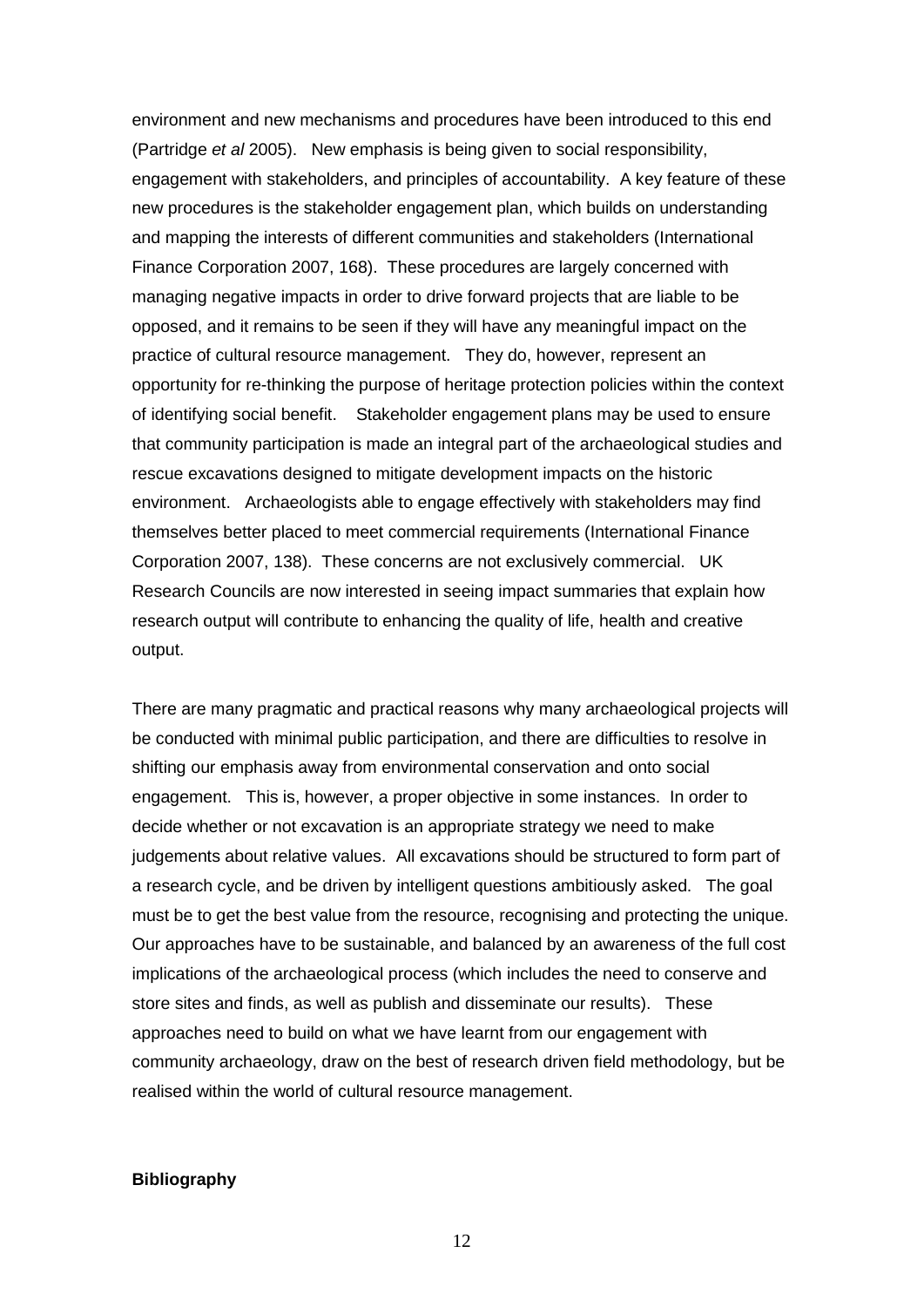environment and new mechanisms and procedures have been introduced to this end (Partridge *et al* 2005). New emphasis is being given to social responsibility, engagement with stakeholders, and principles of accountability. A key feature of these new procedures is the stakeholder engagement plan, which builds on understanding and mapping the interests of different communities and stakeholders (International Finance Corporation 2007, 168). These procedures are largely concerned with managing negative impacts in order to drive forward projects that are liable to be opposed, and it remains to be seen if they will have any meaningful impact on the practice of cultural resource management. They do, however, represent an opportunity for re-thinking the purpose of heritage protection policies within the context of identifying social benefit. Stakeholder engagement plans may be used to ensure that community participation is made an integral part of the archaeological studies and rescue excavations designed to mitigate development impacts on the historic environment. Archaeologists able to engage effectively with stakeholders may find themselves better placed to meet commercial requirements (International Finance Corporation 2007, 138). These concerns are not exclusively commercial. UK Research Councils are now interested in seeing impact summaries that explain how research output will contribute to enhancing the quality of life, health and creative output.

There are many pragmatic and practical reasons why many archaeological projects will be conducted with minimal public participation, and there are difficulties to resolve in shifting our emphasis away from environmental conservation and onto social engagement. This is, however, a proper objective in some instances. In order to decide whether or not excavation is an appropriate strategy we need to make judgements about relative values. All excavations should be structured to form part of a research cycle, and be driven by intelligent questions ambitiously asked. The goal must be to get the best value from the resource, recognising and protecting the unique. Our approaches have to be sustainable, and balanced by an awareness of the full cost implications of the archaeological process (which includes the need to conserve and store sites and finds, as well as publish and disseminate our results). These approaches need to build on what we have learnt from our engagement with community archaeology, draw on the best of research driven field methodology, but be realised within the world of cultural resource management.

# **Bibliography**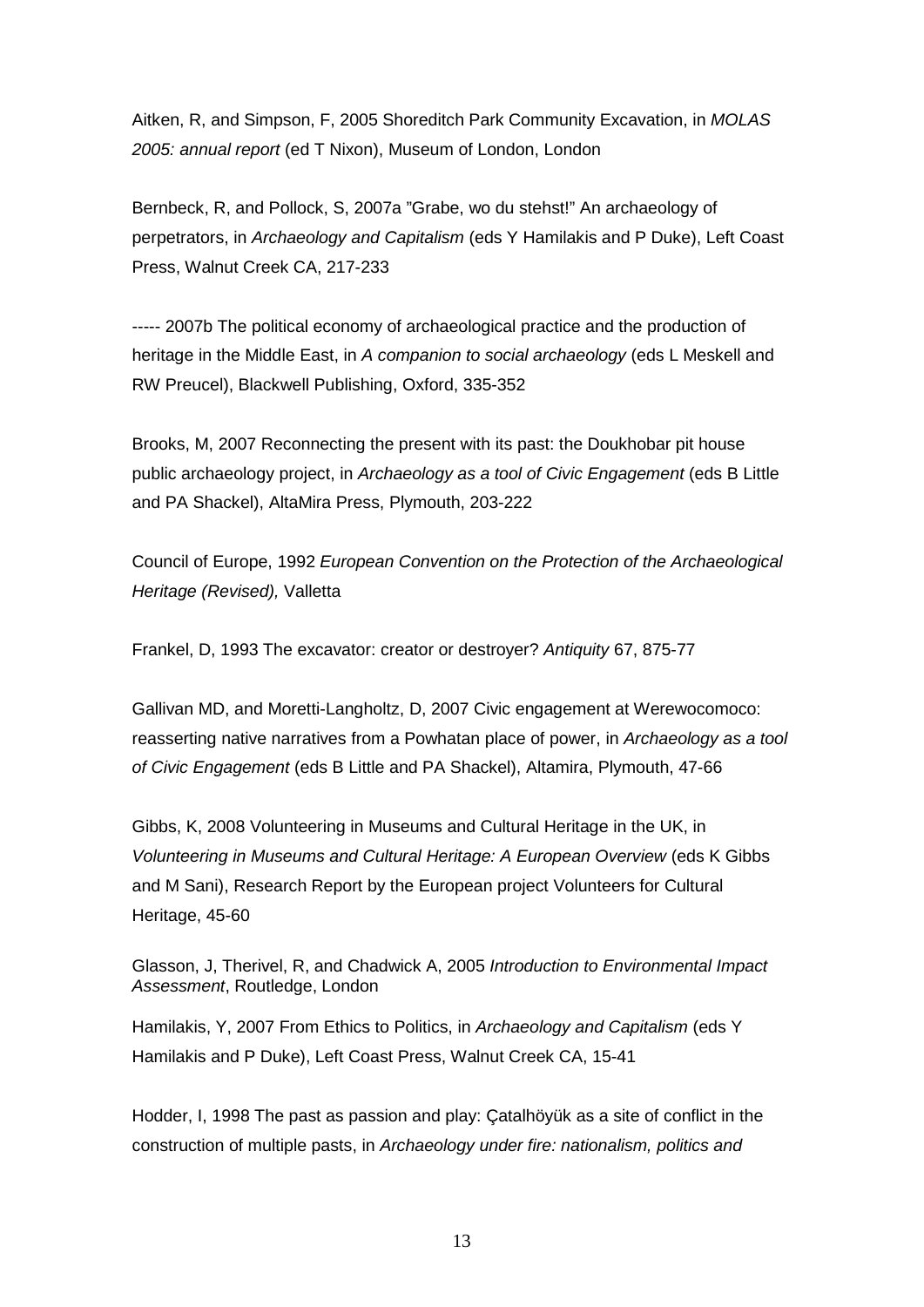Aitken, R, and Simpson, F, 2005 Shoreditch Park Community Excavation, in *MOLAS 2005: annual report* (ed T Nixon), Museum of London, London

Bernbeck, R, and Pollock, S, 2007a "Grabe, wo du stehst!" An archaeology of perpetrators, in *Archaeology and Capitalism* (eds Y Hamilakis and P Duke), Left Coast Press, Walnut Creek CA, 217-233

----- 2007b The political economy of archaeological practice and the production of heritage in the Middle East, in *A companion to social archaeology* (eds L Meskell and RW Preucel), Blackwell Publishing, Oxford, 335-352

Brooks, M, 2007 Reconnecting the present with its past: the Doukhobar pit house public archaeology project, in *Archaeology as a tool of Civic Engagement* (eds B Little and PA Shackel), AltaMira Press, Plymouth, 203-222

Council of Europe, 1992 *European Convention on the Protection of the Archaeological Heritage (Revised),* Valletta

Frankel, D, 1993 The excavator: creator or destroyer? *Antiquity* 67, 875-77

Gallivan MD, and Moretti-Langholtz, D, 2007 Civic engagement at Werewocomoco: reasserting native narratives from a Powhatan place of power, in *Archaeology as a tool of Civic Engagement* (eds B Little and PA Shackel), Altamira, Plymouth, 47-66

Gibbs, K, 2008 Volunteering in Museums and Cultural Heritage in the UK, in *Volunteering in Museums and Cultural Heritage: A European Overview* (eds K Gibbs and M Sani), Research Report by the European project Volunteers for Cultural Heritage, 45-60

Glasson, J, Therivel, R, and Chadwick A, 2005 *Introduction to Environmental Impact Assessment*, Routledge, London

Hamilakis, Y, 2007 From Ethics to Politics, in *Archaeology and Capitalism* (eds Y Hamilakis and P Duke), Left Coast Press, Walnut Creek CA, 15-41

Hodder, I, 1998 The past as passion and play: Çatalhöyük as a site of conflict in the construction of multiple pasts, in *Archaeology under fire: nationalism, politics and*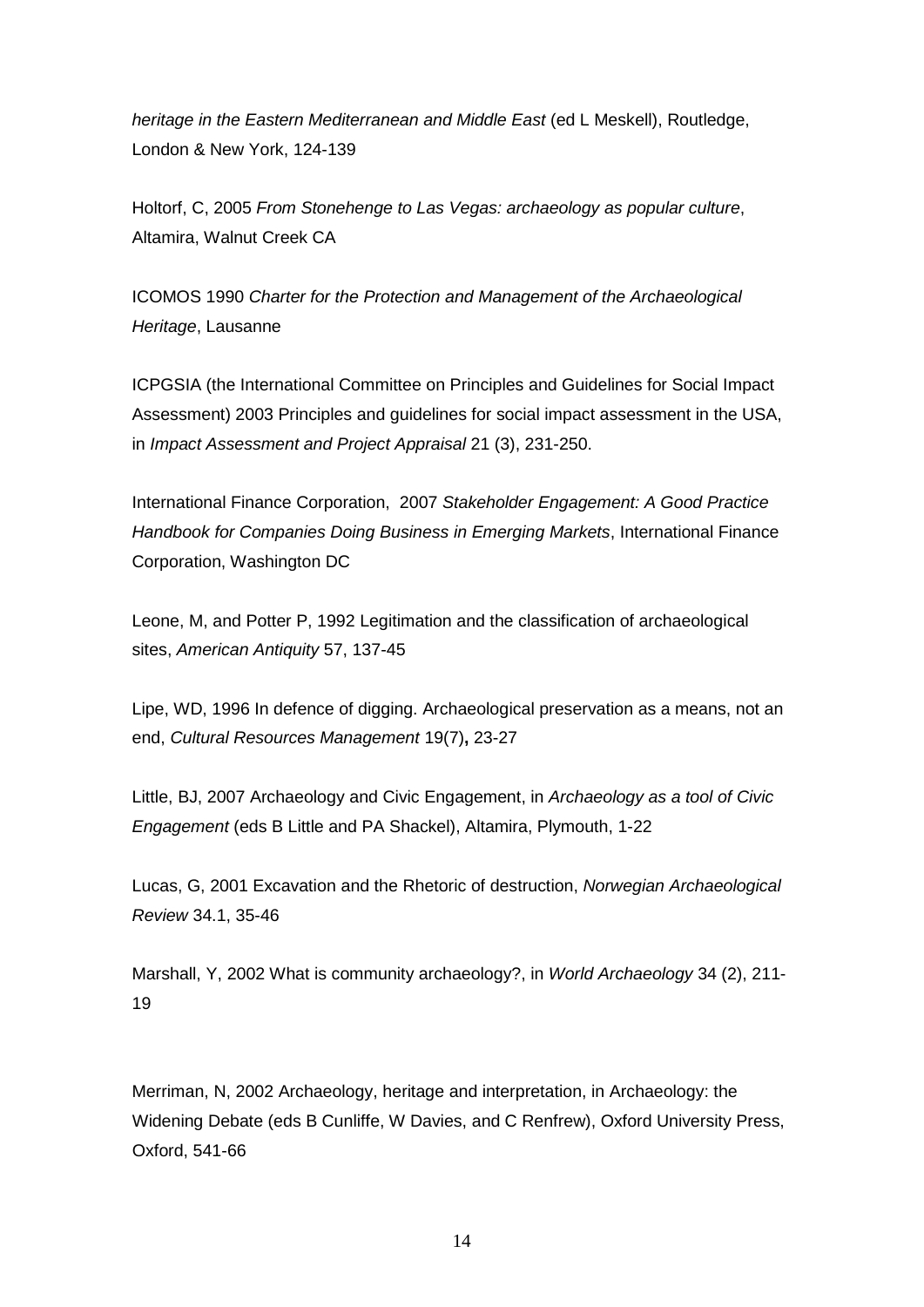*heritage in the Eastern Mediterranean and Middle East* (ed L Meskell), Routledge, London & New York, 124-139

Holtorf, C, 2005 *From Stonehenge to Las Vegas: archaeology as popular culture*, Altamira, Walnut Creek CA

ICOMOS 1990 *Charter for the Protection and Management of the Archaeological Heritage*, Lausanne

ICPGSIA (the International Committee on Principles and Guidelines for Social Impact Assessment) 2003 Principles and guidelines for social impact assessment in the USA, in *Impact Assessment and Project Appraisal* 21 (3), 231-250.

International Finance Corporation, 2007 *Stakeholder Engagement: A Good Practice Handbook for Companies Doing Business in Emerging Markets*, International Finance Corporation, Washington DC

Leone, M, and Potter P, 1992 Legitimation and the classification of archaeological sites, *American Antiquity* 57, 137-45

Lipe, WD, 1996 In defence of digging. Archaeological preservation as a means, not an end, *Cultural Resources Management* 19(7)**,** 23-27

Little, BJ, 2007 Archaeology and Civic Engagement, in *Archaeology as a tool of Civic Engagement* (eds B Little and PA Shackel), Altamira, Plymouth, 1-22

Lucas, G, 2001 Excavation and the Rhetoric of destruction, *Norwegian Archaeological Review* 34.1, 35-46

Marshall, Y, 2002 What is community archaeology?, in *World Archaeology* 34 (2), 211- 19

Merriman, N, 2002 Archaeology, heritage and interpretation, in Archaeology: the Widening Debate (eds B Cunliffe, W Davies, and C Renfrew), Oxford University Press, Oxford, 541-66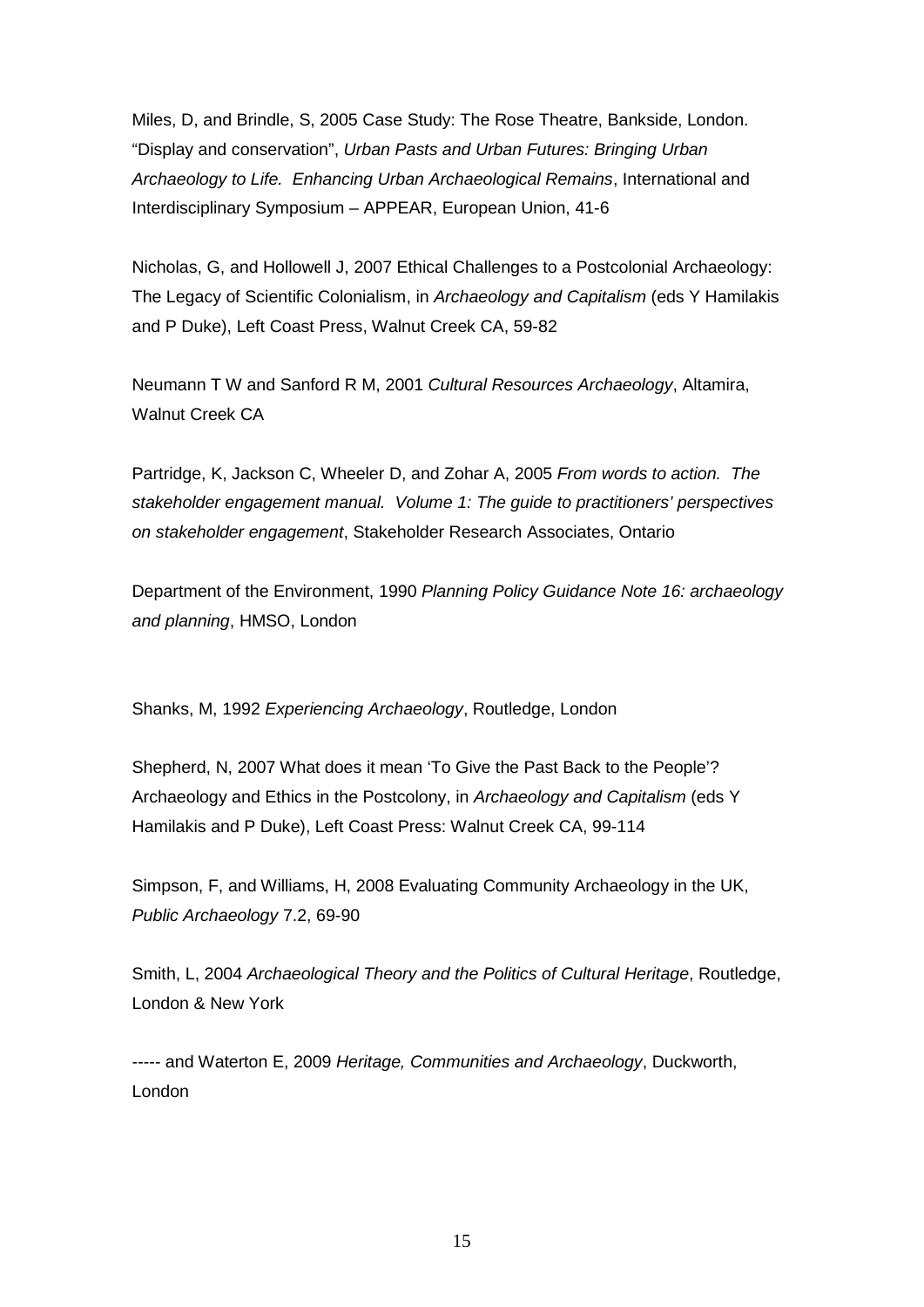Miles, D, and Brindle, S, 2005 Case Study: The Rose Theatre, Bankside, London. "Display and conservation", *Urban Pasts and Urban Futures: Bringing Urban Archaeology to Life. Enhancing Urban Archaeological Remains*, International and Interdisciplinary Symposium – APPEAR, European Union, 41-6

Nicholas, G, and Hollowell J, 2007 Ethical Challenges to a Postcolonial Archaeology: The Legacy of Scientific Colonialism, in *Archaeology and Capitalism* (eds Y Hamilakis and P Duke), Left Coast Press, Walnut Creek CA, 59-82

Neumann T W and Sanford R M, 2001 *Cultural Resources Archaeology*, Altamira, Walnut Creek CA

Partridge, K, Jackson C, Wheeler D, and Zohar A, 2005 *From words to action. The stakeholder engagement manual. Volume 1: The guide to practitioners' perspectives on stakeholder engagement*, Stakeholder Research Associates, Ontario

Department of the Environment, 1990 *Planning Policy Guidance Note 16: archaeology and planning*, HMSO, London

Shanks, M, 1992 *Experiencing Archaeology*, Routledge, London

Shepherd, N, 2007 What does it mean 'To Give the Past Back to the People'? Archaeology and Ethics in the Postcolony, in *Archaeology and Capitalism* (eds Y Hamilakis and P Duke), Left Coast Press: Walnut Creek CA, 99-114

Simpson, F, and Williams, H, 2008 Evaluating Community Archaeology in the UK, *Public Archaeology* 7.2, 69-90

Smith, L, 2004 *Archaeological Theory and the Politics of Cultural Heritage*, Routledge, London & New York

----- and Waterton E, 2009 *Heritage, Communities and Archaeology*, Duckworth, London